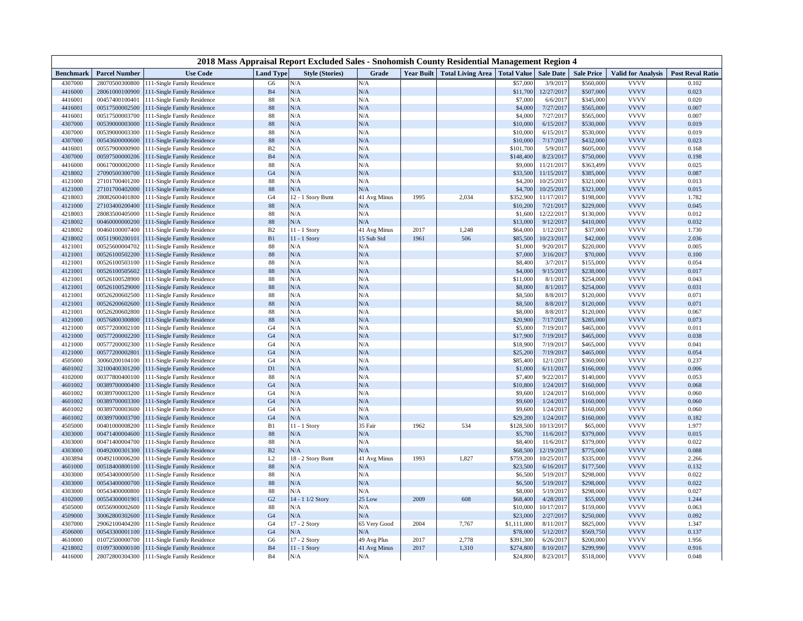| 2018 Mass Appraisal Report Excluded Sales - Snohomish County Residential Management Region 4 |                      |                             |                  |                        |              |      |                                     |                    |                  |                   |                           |                         |
|----------------------------------------------------------------------------------------------|----------------------|-----------------------------|------------------|------------------------|--------------|------|-------------------------------------|--------------------|------------------|-------------------|---------------------------|-------------------------|
| <b>Benchmark</b>                                                                             | <b>Parcel Number</b> | <b>Use Code</b>             | <b>Land Type</b> | <b>Style (Stories)</b> | Grade        |      | <b>Year Built Total Living Area</b> | <b>Total Value</b> | <b>Sale Date</b> | <b>Sale Price</b> | <b>Valid for Analysis</b> | <b>Post Reval Ratio</b> |
| 4307000                                                                                      | 28070500300800       | 111-Single Family Residence | G6               | N/A                    | $\rm N/A$    |      |                                     | \$57,000           | 3/9/2017         | \$560,000         | <b>VVVV</b>               | 0.102                   |
| 4416000                                                                                      | 28061000100900       | 111-Single Family Residence | B <sub>4</sub>   | N/A                    | N/A          |      |                                     | \$11,700           | 12/27/2017       | \$507,000         | <b>VVVV</b>               | 0.023                   |
| 4416001                                                                                      | 00457400100401       | 111-Single Family Residence | 88               | N/A                    | N/A          |      |                                     | \$7,000            | 6/6/201          | \$345,000         | <b>VVVV</b>               | 0.020                   |
| 4416001                                                                                      | 00517500002500       | 111-Single Family Residence | 88               | N/A                    | N/A          |      |                                     | \$4,000            | 7/27/2017        | \$565,000         | <b>VVVV</b>               | 0.007                   |
| 4416001                                                                                      | 00517500003700       | 111-Single Family Residence | 88               | N/A                    | N/A          |      |                                     | \$4,000            | 7/27/2017        | \$565,000         | <b>VVVV</b>               | 0.007                   |
| 4307000                                                                                      | 00539000003000       | 111-Single Family Residence | 88               | N/A                    | N/A          |      |                                     | \$10,000           | 6/15/2017        | \$530,000         | <b>VVVV</b>               | 0.019                   |
| 4307000                                                                                      | 00539000003300       | 111-Single Family Residence | 88               | N/A                    | N/A          |      |                                     | \$10,000           | 6/15/2017        | \$530,000         | <b>VVVV</b>               | 0.019                   |
| 4307000                                                                                      | 00543600000600       | 111-Single Family Residence | 88               | N/A                    | N/A          |      |                                     | \$10,000           | 7/17/2017        | \$432,000         | <b>VVVV</b>               | 0.023                   |
| 4416001                                                                                      | 00557900000900       | 111-Single Family Residence | B <sub>2</sub>   | N/A                    | N/A          |      |                                     | \$101,700          | 5/9/2017         | \$605,000         | <b>VVVV</b>               | 0.168                   |
| 4307000                                                                                      | 00597500000206       | 11-Single Family Residence  | <b>B4</b>        | N/A                    | N/A          |      |                                     | \$148,400          | 8/23/2017        | \$750,000         | <b>VVVV</b>               | 0.198                   |
| 4416000                                                                                      | 00617000002000       | 111-Single Family Residence | 88               | N/A                    | N/A          |      |                                     | \$9,000            | 11/21/2017       | \$363,499         | <b>VVVV</b>               | 0.025                   |
| 4218002                                                                                      | 27090500300700       | 111-Single Family Residence | G <sub>4</sub>   | N/A                    | N/A          |      |                                     | \$33,500           | 11/15/2017       | \$385,000         | <b>VVVV</b>               | 0.087                   |
| 4121000                                                                                      | 27101700401200       | 111-Single Family Residence | 88               | N/A                    | N/A          |      |                                     | \$4,200            | 10/25/2017       | \$321,000         | <b>VVVV</b>               | 0.013                   |
| 4121000                                                                                      | 27101700402000       | 111-Single Family Residence | 88               | N/A                    | N/A          |      |                                     | \$4,700            | 10/25/2017       | \$321,000         | <b>VVVV</b>               | 0.015                   |
| 4218003                                                                                      | 28082600401800       | 111-Single Family Residence | G <sub>4</sub>   | 12 - 1 Story Bsmt      | 41 Avg Minus | 1995 | 2,034                               | \$352,900          | 11/17/2017       | \$198,000         | <b>VVVV</b>               | 1.782                   |
| 4121000                                                                                      | 27103400200400       | 111-Single Family Residence | 88               | N/A                    | N/A          |      |                                     | \$10,200           | 7/21/2017        | \$229,000         | <b>VVVV</b>               | 0.045                   |
| 4218003                                                                                      | 28083500405000       | 111-Single Family Residence | 88               | N/A                    | N/A          |      |                                     | \$1,600            | 12/22/2011       | \$130,000         | <b>VVVV</b>               | 0.012                   |
| 4218002                                                                                      | 00460000000200       | 111-Single Family Residence | 88               | N/A                    | N/A          |      |                                     | \$13,000           | 9/12/2017        | \$410,000         | <b>VVVV</b>               | 0.032                   |
| 4218002                                                                                      | 00460100007400       | 111-Single Family Residence | B2               | 11 - 1 Story           | 41 Avg Minus | 2017 | 1,248                               | \$64,000           | 1/12/2017        | \$37,000          | <b>VVVV</b>               | 1.730                   |
| 4218002                                                                                      | 00511900200101       | 11-Single Family Residence  | B1               | 11 - 1 Story           | 15 Sub Std   | 1961 | 506                                 | \$85,500           | 10/23/2017       | \$42,000          | <b>VVVV</b>               | 2.036                   |
| 4121001                                                                                      | 00525600004702       | 111-Single Family Residence | 88               | N/A                    | N/A          |      |                                     | \$1,000            | 9/20/2017        | \$220,000         | <b>VVVV</b>               | 0.005                   |
| 4121001                                                                                      | 00526100502200       | 111-Single Family Residence | 88               | N/A                    | N/A          |      |                                     | \$7,000            | 3/16/2017        | \$70,000          | <b>VVVV</b>               | 0.100                   |
| 4121001                                                                                      | 00526100503100       | 111-Single Family Residence | 88               | N/A                    | N/A          |      |                                     | \$8,400            | 3/7/201          | \$155,000         | <b>VVVV</b>               | 0.054                   |
| 4121001                                                                                      | 00526100505602       | 111-Single Family Residence | 88               | N/A                    | N/A          |      |                                     | \$4,000            | 9/15/2017        | \$238,000         | <b>VVVV</b>               | 0.017                   |
| 4121001                                                                                      | 00526100528900       | 111-Single Family Residence | 88               | N/A                    | N/A          |      |                                     | \$11,000           | 8/1/201          | \$254,000         | <b>VVVV</b>               | 0.043                   |
| 4121001                                                                                      | 00526100529000       | 111-Single Family Residence | 88               | N/A                    | N/A          |      |                                     | \$8,000            | 8/1/201          | \$254,000         | <b>VVVV</b>               | 0.031                   |
| 4121001                                                                                      | 00526200602500       | 111-Single Family Residence | 88               | N/A                    | N/A          |      |                                     | \$8,500            | 8/8/2017         | \$120,000         | <b>VVVV</b>               | 0.071                   |
| 4121001                                                                                      | 00526200602600       | 111-Single Family Residence | 88               | N/A                    | N/A          |      |                                     | \$8,500            | 8/8/2017         | \$120,000         | <b>VVVV</b>               | 0.071                   |
| 4121001                                                                                      | 00526200602800       | 111-Single Family Residence | 88               | N/A                    | N/A          |      |                                     | \$8,000            | 8/8/2017         | \$120,000         | <b>VVVV</b>               | 0.067                   |
| 4121000                                                                                      | 00576800300800       | 111-Single Family Residence | 88               | N/A                    | N/A          |      |                                     | \$20,900           | 7/17/2017        | \$285,000         | <b>VVVV</b>               | 0.073                   |
| 4121000                                                                                      | 00577200002100       | 111-Single Family Residence | G <sub>4</sub>   | N/A                    | N/A          |      |                                     | \$5,000            | 7/19/2011        | \$465,000         | <b>VVVV</b>               | 0.011                   |
| 4121000                                                                                      | 00577200002200       | 111-Single Family Residence | G <sub>4</sub>   | N/A                    | N/A          |      |                                     | \$17,900           | 7/19/2017        | \$465,000         | <b>VVVV</b>               | 0.038                   |
| 4121000                                                                                      | 00577200002300       | 111-Single Family Residence | G <sub>4</sub>   | N/A                    | N/A          |      |                                     | \$18,900           | 7/19/2017        | \$465,000         | <b>VVVV</b>               | 0.041                   |
| 4121000                                                                                      | 00577200002801       | 111-Single Family Residence | G <sub>4</sub>   | N/A                    | N/A          |      |                                     | \$25,200           | 7/19/2017        | \$465,000         | <b>VVVV</b>               | 0.054                   |
| 4505000                                                                                      | 30060200104100       | 111-Single Family Residence | G <sub>4</sub>   | N/A                    | N/A          |      |                                     | \$85,400           | 12/1/2017        | \$360,000         | <b>VVVV</b>               | 0.237                   |
| 4601002                                                                                      | 32100400301200       | 111-Single Family Residence | D1               | N/A                    | $\rm N/A$    |      |                                     | \$1,000            | 6/11/2017        | \$166,000         | <b>VVVV</b>               | 0.006                   |
| 4102000                                                                                      | 00377800400100       | 111-Single Family Residence | 88               | N/A                    | N/A          |      |                                     | \$7,400            | 9/22/2011        | \$140,000         | <b>VVVV</b>               | 0.053                   |
| 4601002                                                                                      | 00389700000400       | 111-Single Family Residence | G4               | N/A                    | N/A          |      |                                     | \$10,800           | 1/24/2017        | \$160,000         | <b>VVVV</b>               | 0.068                   |
| 4601002                                                                                      | 00389700003200       | 111-Single Family Residence | G <sub>4</sub>   | N/A                    | N/A          |      |                                     | \$9,600            | 1/24/2017        | \$160,000         | <b>VVVV</b>               | 0.060                   |
| 4601002                                                                                      | 00389700003300       | 111-Single Family Residence | G <sub>4</sub>   | N/A                    | N/A          |      |                                     | \$9,600            | 1/24/2017        | \$160,000         | <b>VVVV</b>               | 0.060                   |
| 4601002                                                                                      | 00389700003600       | 111-Single Family Residence | G <sub>4</sub>   | N/A                    | N/A          |      |                                     | \$9,600            | 1/24/2017        | \$160,000         | <b>VVVV</b>               | 0.060                   |
| 4601002                                                                                      | 00389700003700       | 111-Single Family Residence | G <sub>4</sub>   | N/A                    | N/A          |      |                                     | \$29,200           | 1/24/2017        | \$160,000         | <b>VVVV</b>               | 0.182                   |
| 4505000                                                                                      | 00401000008200       | 111-Single Family Residence | B1               | 11 - 1 Story           | 35 Fair      | 1962 | 534                                 | \$128,500          | 10/13/2017       | \$65,000          | <b>VVVV</b>               | 1.977                   |
| 4303000                                                                                      | 00471400004600       | 111-Single Family Residence | 88               | N/A                    | N/A          |      |                                     | \$5,700            | 11/6/2017        | \$379,000         | <b>VVVV</b>               | 0.015                   |
| 4303000                                                                                      | 00471400004700       | 111-Single Family Residence | 88               | N/A                    | N/A          |      |                                     | \$8,400            | 11/6/2017        | \$379,000         | <b>VVVV</b>               | 0.022                   |
| 4303000                                                                                      | 00492000301300       | 111-Single Family Residence | $\mathbf{B2}$    | N/A                    | $\rm N/A$    |      |                                     | \$68,500           | 12/19/2017       | \$775,000         | <b>VVVV</b>               | 0.088                   |
| 4303894                                                                                      | 00492100006200       | 111-Single Family Residence | L2               | 18 - 2 Story Bsmt      | 41 Avg Minus | 1993 | 1,827                               | \$759,200          | 10/25/2017       | \$335,000         | <b>VVVV</b>               | 2.266                   |
| 4601000                                                                                      | 00518400800100       | 111-Single Family Residence | 88               | N/A                    | $\rm N/A$    |      |                                     | \$23,500           | 6/16/2017        | \$177,500         | <b>VVVV</b>               | 0.132                   |
| 4303000                                                                                      | 00543400000500       | 111-Single Family Residence | 88               | N/A                    | N/A          |      |                                     | \$6,500            | 5/19/2011        | \$298,000         | <b>VVVV</b>               | 0.022                   |
| 4303000                                                                                      | 00543400000700       | 111-Single Family Residence | 88               | N/A                    | N/A          |      |                                     | \$6,500            | 5/19/2017        | \$298,000         | <b>VVVV</b>               | 0.022                   |
| 4303000                                                                                      | 00543400000800       | 111-Single Family Residence | 88               | N/A                    | N/A          |      |                                     | \$8,000            | 5/19/2011        | \$298,000         | <b>VVVV</b>               | 0.027                   |
| 4102000                                                                                      | 00554300001901       | 111-Single Family Residence | G2               | $14 - 1$<br>1/2 Story  | 25 Low       | 2009 | 608                                 | \$68,400           | 4/28/2017        | \$55,000          | <b>VVVV</b>               | 1.244                   |
| 4505000                                                                                      | 00556900002600       | 111-Single Family Residence | 88               | N/A                    | N/A          |      |                                     | \$10,000           | 10/17/2017       | \$159,000         | <b>VVVV</b>               | 0.063                   |
| 4509000                                                                                      | 30062800302600       | 111-Single Family Residence | G <sub>4</sub>   | N/A                    | $\rm N/A$    |      |                                     | \$23,000           | 2/27/2017        | \$250,000         | <b>VVVV</b>               | 0.092                   |
| 4307000                                                                                      | 29062100404200       | 111-Single Family Residence | G <sub>4</sub>   | 17 - 2 Story           | 65 Very Good | 2004 | 7,767                               | \$1,111,000        | 8/11/2017        | \$825,000         | <b>VVVV</b>               | 1.347                   |
| 4506000                                                                                      | 00543300001100       | 11-Single Family Residence  | G <sub>4</sub>   | N/A                    | N/A          |      |                                     | \$78,000           | 5/12/2017        | \$569,750         | <b>VVVV</b>               | 0.137                   |
| 4610000                                                                                      | 01072500000700       | 111-Single Family Residence | G6               | 17 - 2 Story           | 49 Avg Plus  | 2017 | 2,778                               | \$391,300          | 6/26/201         | \$200,000         | <b>VVVV</b>               | 1.956                   |
| 4218002                                                                                      | 01097300000100       | 111-Single Family Residence | B <sub>4</sub>   | $11 - 1$ Story         | 41 Avg Minus | 2017 | 1,310                               | \$274,800          | 8/10/2017        | \$299,990         | <b>VVVV</b>               | 0.916                   |
| 4416000                                                                                      | 28072800304300       | 111-Single Family Residence | B <sub>4</sub>   | N/A                    | N/A          |      |                                     | \$24,800           | 8/23/2017        | \$518,000         | <b>VVVV</b>               | 0.048                   |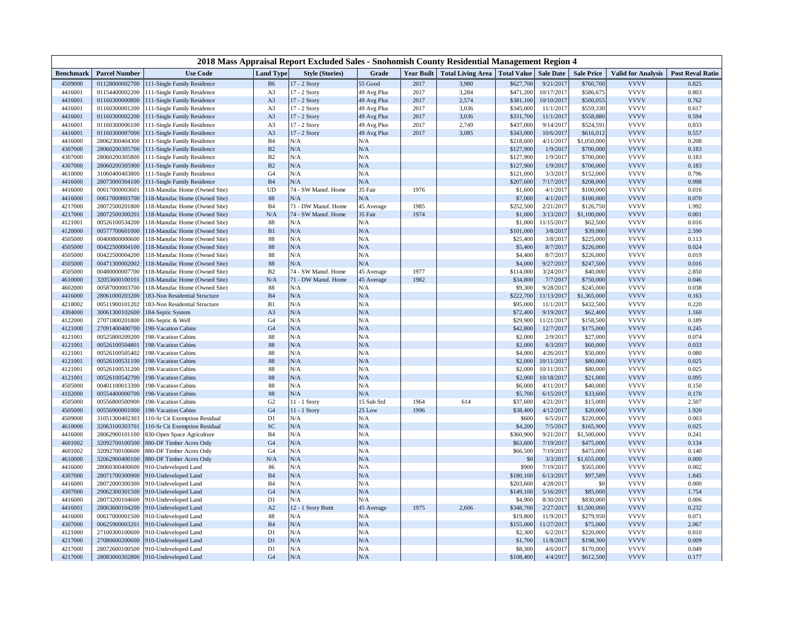| 2018 Mass Appraisal Report Excluded Sales - Snohomish County Residential Management Region 4 |                                  |                                            |                      |                            |                  |                   |                                      |                     |                       |                       |                            |                         |
|----------------------------------------------------------------------------------------------|----------------------------------|--------------------------------------------|----------------------|----------------------------|------------------|-------------------|--------------------------------------|---------------------|-----------------------|-----------------------|----------------------------|-------------------------|
| <b>Benchmark</b>                                                                             | <b>Parcel Number</b>             | <b>Use Code</b>                            | <b>Land Type</b>     | <b>Style (Stories)</b>     | Grade            | <b>Year Built</b> | <b>Total Living Area</b> Total Value |                     | <b>Sale Date</b>      | <b>Sale Price</b>     | <b>Valid for Analysis</b>  | <b>Post Reval Ratio</b> |
| 4509000                                                                                      | 01128000002700                   | 111-Single Family Residence                | <b>B6</b>            | 17 - 2 Story               | 55 Good          | 2017              | 3,980                                | \$627,700           | 9/21/2017             | \$760,700             | <b>VVVV</b>                | 0.825                   |
| 4416001                                                                                      | 01154400002200                   | 111-Single Family Residence                | A <sub>3</sub>       | 17 - 2 Story               | 49 Avg Plus      | 2017              | 3,284                                | \$471,200           | 10/17/2017            | \$586,675             | <b>VVVV</b>                | 0.803                   |
| 4416001                                                                                      | 01160300000800                   | 111-Single Family Residence                | A <sub>3</sub>       | 17 - 2 Story               | 49 Avg Plus      | 2017              | 2,574                                | \$381,100           | 10/10/2017            | \$500,055             | <b>VVVV</b>                | 0.762                   |
| 4416001                                                                                      | 01160300001200                   | 111-Single Family Residence                | A <sub>3</sub>       | 17 - 2 Story               | 49 Avg Plus      | 2017              | 3,036                                | \$345,000           | 11/1/2017             | \$559,330             | <b>VVVV</b>                | 0.617                   |
| 4416001                                                                                      | 01160300002200                   | 111-Single Family Residence                | A <sub>3</sub>       | 17 - 2 Story               | 49 Avg Plus      | 2017              | 3,036                                | \$331,700           | 11/1/2017             | \$558,880             | <b>VVVV</b>                | 0.594                   |
| 4416001                                                                                      | 01160300006100                   | 111-Single Family Residence                | A <sub>3</sub>       | 17 - 2 Story               | 49 Avg Plus      | 2017              | 2,749                                | \$437,000           | 9/14/2017             | \$524,591             | <b>VVVV</b>                | 0.833                   |
| 4416001                                                                                      | 01160300007000                   | 111-Single Family Residence                | A3                   | 17 - 2 Story               | 49 Avg Plus      | 2017              | 3,085                                | \$343,000           | 10/6/2017             | \$616,012             | <b>VVVV</b>                | 0.557                   |
| 4416000                                                                                      | 28062300404300                   | 111-Single Family Residence                | B4                   | N/A                        | N/A              |                   |                                      | \$218,600           | 4/11/2017             | \$1,050,000           | <b>VVVV</b>                | 0.208                   |
| 4307000                                                                                      | 28060200305700                   | 111-Single Family Residence                | B2                   | N/A                        | $\rm N/A$        |                   |                                      | \$127,900           | 1/9/2017              | \$700,000             | <b>VVVV</b>                | 0.183                   |
| 4307000                                                                                      | 28060200305800                   | 111-Single Family Residence                | B2                   | N/A                        | N/A              |                   |                                      | \$127,900           | 1/9/2017              | \$700,000             | <b>VVVV</b>                | 0.183                   |
| 4307000                                                                                      | 28060200305900                   | 111-Single Family Residence                | B2                   | N/A                        | N/A              |                   |                                      | \$127,900           | 1/9/2017              | \$700,000             | <b>VVVV</b>                | 0.183                   |
| 4610000                                                                                      | 31060400403800                   | 111-Single Family Residence                | G <sub>4</sub>       | N/A                        | $\rm N/A$        |                   |                                      | \$121,000           | 3/3/2017              | \$152,000             | <b>VVVV</b>                | 0.796                   |
| 4416000                                                                                      | 28073000304100                   | 111-Single Family Residence                | B4                   | $\rm N/A$                  | $\rm N/A$        |                   |                                      | \$207,600           | 7/17/2017             | \$208,000             | <b>VVVV</b>                | 0.998                   |
| 4416000                                                                                      | 00617000003601                   | 18-Manufac Home (Owned Site)               | <b>UD</b>            | 74 - SW Manuf. Home        | 35 Fair          | 1976              |                                      | \$1,600             | 4/1/2017              | \$100,000             | <b>VVVV</b>                | 0.016                   |
| 4416000                                                                                      | 00617000003700                   | 118-Manufac Home (Owned Site)              | 88                   | N/A                        | N/A              |                   |                                      | \$7,000             | 4/1/2017              | \$100,000             | <b>VVVV</b>                | 0.070                   |
| 4217000                                                                                      | 28072500201800                   | 118-Manufac Home (Owned Site)              | <b>B4</b>            | 71 - DW Manuf. Home        | 45 Average       | 1985              |                                      | \$252,500           | 2/21/2017             | \$126,750             | <b>VVVV</b>                | 1.992                   |
| 4217000                                                                                      | 28072500300201                   | 118-Manufac Home (Owned Site)              | N/A                  | 74 - SW Manuf. Home        | 35 Fair          | 1974              |                                      | \$1,000             | 3/13/2017             | \$1,100,000           | <b>VVVV</b>                | 0.001                   |
| 4121001                                                                                      | 00526100534200                   | 118-Manufac Home (Owned Site)              | 88                   | N/A                        | N/A              |                   |                                      | \$1,000             | 11/15/2017            | \$62,500              | <b>VVVV</b>                | 0.016                   |
| 4120000                                                                                      | 00577700601000                   | 118-Manufac Home (Owned Site)              | ${\bf B1}$           | N/A                        | N/A              |                   |                                      | \$101,000           | 3/8/2017              | \$39,000              | <b>VVVV</b>                | 2.590                   |
| 4505000                                                                                      | 00400800000600                   | 118-Manufac Home (Owned Site)              | 88                   | N/A                        | N/A              |                   |                                      | \$25,400            | 3/8/2017              | \$225,000             | <b>VVVV</b>                | 0.113                   |
| 4505000                                                                                      | 00422500004100                   | 118-Manufac Home (Owned Site)              | $88\,$               | N/A                        | N/A              |                   |                                      | \$5,400             | 8/7/2017              | \$226,000             | <b>VVVV</b>                | 0.024                   |
| 4505000                                                                                      | 00422500004200                   | 118-Manufac Home (Owned Site)              | 88                   | N/A                        | N/A              |                   |                                      | \$4,400             | 8/7/2017              | \$226,000             | <b>VVVV</b><br><b>VVVV</b> | 0.019                   |
| 4505000                                                                                      | 00471300002002                   | 118-Manufac Home (Owned Site)              | 88                   | $\rm N/A$                  | N/A              |                   |                                      | \$4,000             | 9/27/2017             | \$247,500             |                            | 0.016                   |
| 4505000                                                                                      | 00480000007700                   | 118-Manufac Home (Owned Site)              | B2                   | 74 - SW Manuf. Home        | 45 Average       | 1977              |                                      | \$114,000           | 3/24/2017             | \$40,000              | <b>VVVV</b><br><b>VVVV</b> | 2.850                   |
| 4610000                                                                                      | 32053600100101                   | 118-Manufac Home (Owned Site)              | N/A                  | 71 - DW Manuf. Home<br>N/A | 45 Average       | 1982              |                                      | \$34,800            | 7/7/2017              | \$750,000             | <b>VVVV</b>                | 0.046                   |
| 4602000                                                                                      | 00587000003700                   | 118-Manufac Home (Owned Site)              | $88\,$               |                            | N/A              |                   |                                      | \$9,300             | 9/28/2017             | \$245,000             | <b>VVVV</b>                | 0.038                   |
| 4416000                                                                                      | 28061000203200                   | 183-Non Residential Structure              | <b>B4</b>            | N/A                        | N/A              |                   |                                      | \$222,700           | 11/13/2017            | \$1,365,000           |                            | 0.163                   |
| 4218002                                                                                      | 00511900101202                   | 183-Non Residential Structure              | B1                   | N/A                        | N/A<br>N/A       |                   |                                      | \$95,000            | 11/1/2017             | \$432,500             | <b>VVVV</b><br><b>VVVV</b> | 0.220                   |
| 4304000                                                                                      | 30061300102600                   | 184-Septic System                          | A3                   | N/A<br>N/A                 |                  |                   |                                      | \$72,400            | 9/19/2017             | \$62,400              | <b>VVVV</b>                | 1.160                   |
| 4122000                                                                                      | 27071800201800                   | 186-Septic & Well                          | G <sub>4</sub>       | N/A                        | N/A              |                   |                                      | \$29,900            | 11/21/2017            | \$158,500             | <b>VVVV</b>                | 0.189                   |
| 4121000<br>4121001                                                                           | 27091400400700<br>00525800209200 | 198-Vacation Cabins<br>198-Vacation Cabins | G <sub>4</sub><br>88 | N/A                        | $\rm N/A$<br>N/A |                   |                                      | \$42,800<br>\$2,000 | 12/7/2017<br>2/9/2017 | \$175,000<br>\$27,000 | <b>VVVV</b>                | 0.245<br>0.074          |
| 4121001                                                                                      |                                  |                                            |                      | N/A                        | N/A              |                   |                                      | \$2,000             | 8/3/2017              |                       | <b>VVVV</b>                | 0.033                   |
| 4121001                                                                                      | 00526100504801<br>00526100505402 | 198-Vacation Cabins<br>198-Vacation Cabins | $88\,$<br>88         | N/A                        | N/A              |                   |                                      | \$4,000             | 4/26/2017             | \$60,000<br>\$50,000  | <b>VVVV</b>                | 0.080                   |
| 4121001                                                                                      | 00526100531100                   | 198-Vacation Cabins                        | 88                   | N/A                        | N/A              |                   |                                      | \$2,000             | 10/11/2017            | \$80,000              | <b>VVVV</b>                | 0.025                   |
| 4121001                                                                                      | 00526100531200                   | 198-Vacation Cabins                        | $88\,$               | N/A                        | N/A              |                   |                                      | \$2,000             | 10/11/2017            | \$80,000              | <b>VVVV</b>                | 0.025                   |
| 4121001                                                                                      | 00526100542700                   | 198-Vacation Cabins                        | $88\,$               | N/A                        | N/A              |                   |                                      | \$2,000             | 10/18/2017            | \$21,000              | <b>VVVV</b>                | 0.095                   |
| 4505000                                                                                      | 00401100013300                   | 198-Vacation Cabins                        | 88                   | N/A                        | N/A              |                   |                                      | \$6,000             | 4/11/2017             | \$40,000              | <b>VVVV</b>                | 0.150                   |
| 4102000                                                                                      | 00554400000700                   | 198-Vacation Cabins                        | 88                   | N/A                        | N/A              |                   |                                      | \$5,700             | 6/15/2017             | \$33,600              | <b>VVVV</b>                | 0.170                   |
| 4505000                                                                                      | 00556800500900                   | 198-Vacation Cabins                        | G2                   | 11 - 1 Story               | 15 Sub Std       | 1964              | 614                                  | \$37,600            | 4/21/2017             | \$15,000              | <b>VVVV</b>                | 2.507                   |
| 4505000                                                                                      | 00556900001000                   | 198-Vacation Cabins                        | G4                   | $11 - 1$ Story             | 25 Low           | 1996              |                                      | \$38,400            | 4/12/2017             | \$20,000              | <b>VVVV</b>                | 1.920                   |
| 4509000                                                                                      | 31051300402303                   | 110-Sr Cit Exemption Residual              | D1                   | N/A                        | N/A              |                   |                                      | \$600               | 6/5/2017              | \$220,000             | <b>VVVV</b>                | 0.003                   |
| 4610000                                                                                      | 32063100303701                   | 110-Sr Cit Exemption Residual              | SC                   | N/A                        | N/A              |                   |                                      | \$4,200             | 7/5/2017              | \$165,900             | <b>VVVV</b>                | 0.025                   |
| 4416000                                                                                      | 28062900101100                   | 330-Open Space Agriculture                 | B <sub>4</sub>       | N/A                        | N/A              |                   |                                      | \$360,900           | 9/21/201              | \$1,500,000           | <b>VVVV</b>                | 0.241                   |
| 4601002                                                                                      | 32092700100500                   | <b>880-DF Timber Acres Only</b>            | G <sub>4</sub>       | N/A                        | N/A              |                   |                                      | \$63,600            | 7/19/2011             | \$475,000             | <b>VVVV</b>                | 0.134                   |
| 4601002                                                                                      | 32092700100600                   | 880-DF Timber Acres Only                   | G <sub>4</sub>       | N/A                        | N/A              |                   |                                      | \$66,500            | 7/19/2017             | \$475,000             | <b>VVVV</b>                | 0.140                   |
| 4610000                                                                                      | 32062900400100                   | 880-DF Timber Acres Only                   | N/A                  | $\rm N/A$                  | N/A              |                   |                                      | $$^{(})$            | 3/3/2017              | \$1,655,000           | <b>VVVV</b>                | 0.000                   |
| 4416000                                                                                      | 28060300400600                   | 910-Undeveloped Land                       | 86                   | N/A                        | N/A              |                   |                                      | \$900               | 7/19/2017             | \$565,000             | <b>VVVV</b>                | 0.002                   |
| 4307000                                                                                      | 28071700300900                   | 910-Undeveloped Land                       | <b>B4</b>            | N/A                        | N/A              |                   |                                      | \$180,100           | 6/13/2017             | \$97,589              | <b>VVVV</b>                | 1.845                   |
| 4416000                                                                                      | 28072000300300                   | 910-Undeveloped Land                       | <b>B4</b>            | N/A                        | N/A              |                   |                                      | \$203,600           | 4/28/2011             | \$0                   | <b>VVVV</b>                | 0.000                   |
| 4307000                                                                                      | 29062300301500                   | 910-Undeveloped Land                       | G <sub>4</sub>       | N/A                        | N/A              |                   |                                      | \$149,100           | 5/16/2017             | \$85,000              | <b>VVVV</b>                | 1.754                   |
| 4416000                                                                                      | 28073200104600                   | 910-Undeveloped Land                       | D1                   | N/A                        | N/A              |                   |                                      | \$4,900             | 8/30/2017             | \$830,000             | <b>VVVV</b>                | 0.006                   |
| 4416001                                                                                      | 28063600104200                   | 910-Undeveloped Land                       | A2                   | 12 - 1 Story Bsmt          | 45 Average       | 1975              | 2,606                                | \$348,700           | 2/27/2017             | \$1,500,000           | <b>VVVV</b>                | 0.232                   |
| 4416000                                                                                      | 00617000001500                   | 910-Undeveloped Land                       | 88                   | N/A                        | N/A              |                   |                                      | \$19,800            | 11/9/2017             | \$279,950             | <b>VVVV</b>                | 0.071                   |
| 4307000                                                                                      | 00625900003201                   | 910-Undeveloped Land                       | B <sub>4</sub>       | N/A                        | $\rm N/A$        |                   |                                      | \$155,000           | 11/27/2017            | \$75,000              | <b>VVVV</b>                | 2.067                   |
| 4121000                                                                                      | 27100300100600                   | 910-Undeveloped Land                       | D1                   | N/A                        | N/A              |                   |                                      | \$2,300             | 6/2/201               | \$220,000             | <b>VVVV</b>                | 0.010                   |
| 4217000                                                                                      | 27080600200600                   | 910-Undeveloped Land                       | D1                   | N/A                        | N/A              |                   |                                      | \$1,700             | 11/8/2017             | \$198,300             | <b>VVVV</b>                | 0.009                   |
| 4217000                                                                                      | 28072600100500                   | 910-Undeveloped Land                       | D1                   | N/A                        | N/A              |                   |                                      | \$8,300             | 4/6/2017              | \$170,000             | <b>VVVV</b>                | 0.049                   |
| 4217000                                                                                      | 28083000302800                   | 910-Undeveloped Land                       | G <sub>4</sub>       | N/A                        | N/A              |                   |                                      | \$108,400           | 4/4/2017              | \$612,500             | <b>VVVV</b>                | 0.177                   |